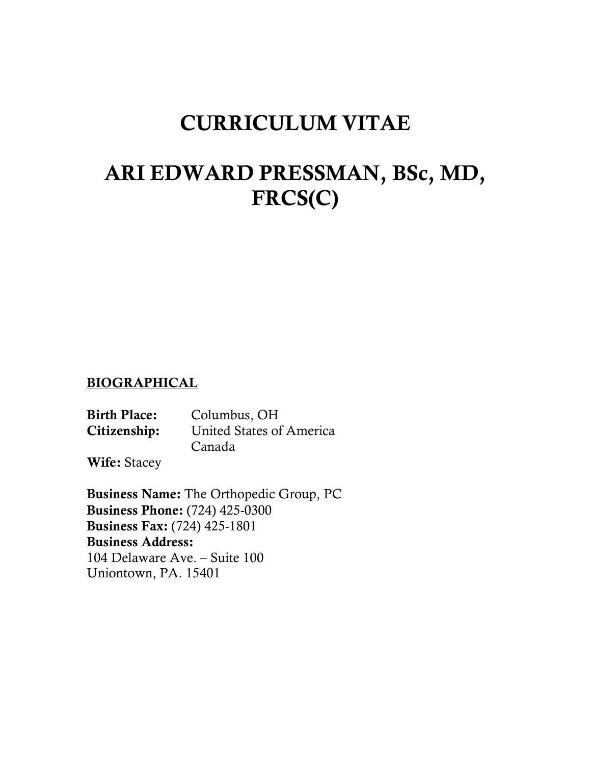# CURRICULUM VITAE

# ARI EDWARD PRESSMAN, BSc, MD, FRCS(C)

### BIOGRAPHICAL

Birth Place: Columbus, OH Citizenship: United States of America Canada

Wife: Stacey

Business Name: The Orthopedic Group, PC Business Phone: (724) 425-0300 Business Fax: (724) 425-1801 Business Address: 104 Delaware Ave. – Suite 100 Uniontown, PA. 15401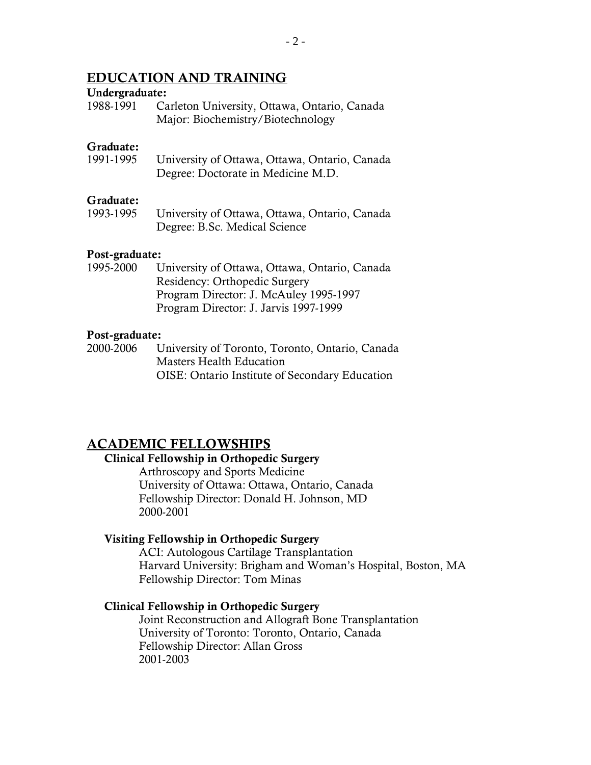### EDUCATION AND TRAINING

#### Undergraduate:

1988-1991 Carleton University, Ottawa, Ontario, Canada Major: Biochemistry/Biotechnology

#### Graduate:

1991-1995 University of Ottawa, Ottawa, Ontario, Canada Degree: Doctorate in Medicine M.D.

#### Graduate:

1993-1995 University of Ottawa, Ottawa, Ontario, Canada Degree: B.Sc. Medical Science

#### Post-graduate:

1995-2000 University of Ottawa, Ottawa, Ontario, Canada Residency: Orthopedic Surgery Program Director: J. McAuley 1995-1997 Program Director: J. Jarvis 1997-1999

#### Post-graduate:

2000-2006 University of Toronto, Toronto, Ontario, Canada Masters Health Education OISE: Ontario Institute of Secondary Education

### ACADEMIC FELLOWSHIPS

#### Clinical Fellowship in Orthopedic Surgery

Arthroscopy and Sports Medicine University of Ottawa: Ottawa, Ontario, Canada Fellowship Director: Donald H. Johnson, MD 2000-2001

#### Visiting Fellowship in Orthopedic Surgery

ACI: Autologous Cartilage Transplantation Harvard University: Brigham and Woman's Hospital, Boston, MA Fellowship Director: Tom Minas

#### Clinical Fellowship in Orthopedic Surgery

Joint Reconstruction and Allograft Bone Transplantation University of Toronto: Toronto, Ontario, Canada Fellowship Director: Allan Gross 2001-2003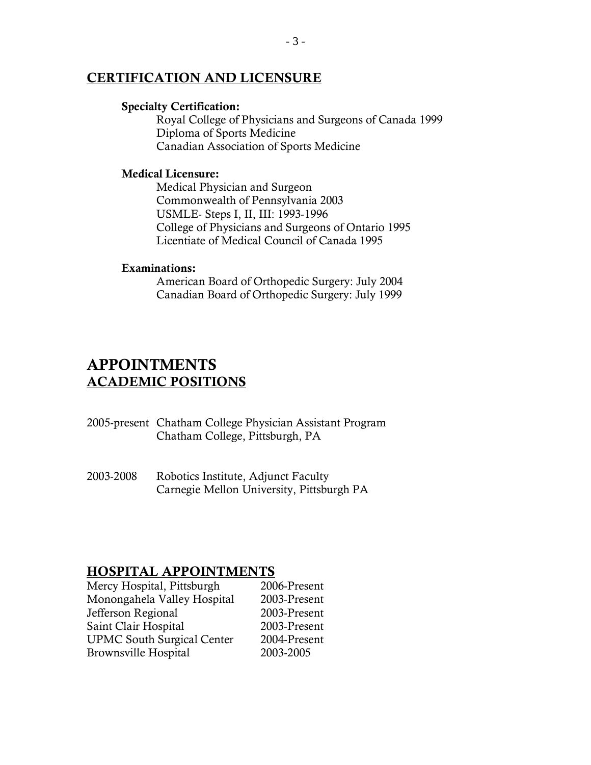### CERTIFICATION AND LICENSURE

#### Specialty Certification:

Royal College of Physicians and Surgeons of Canada 1999 Diploma of Sports Medicine Canadian Association of Sports Medicine

#### Medical Licensure:

Medical Physician and Surgeon Commonwealth of Pennsylvania 2003 USMLE- Steps I, II, III: 1993-1996 College of Physicians and Surgeons of Ontario 1995 Licentiate of Medical Council of Canada 1995

#### Examinations:

American Board of Orthopedic Surgery: July 2004 Canadian Board of Orthopedic Surgery: July 1999

### APPOINTMENTS ACADEMIC POSITIONS

- 2005-present Chatham College Physician Assistant Program Chatham College, Pittsburgh, PA
- 2003-2008 Robotics Institute, Adjunct Faculty Carnegie Mellon University, Pittsburgh PA

### HOSPITAL APPOINTMENTS

| Mercy Hospital, Pittsburgh        | 2006-Present |
|-----------------------------------|--------------|
| Monongahela Valley Hospital       | 2003-Present |
| Jefferson Regional                | 2003-Present |
| Saint Clair Hospital              | 2003-Present |
| <b>UPMC South Surgical Center</b> | 2004-Present |
| <b>Brownsville Hospital</b>       | 2003-2005    |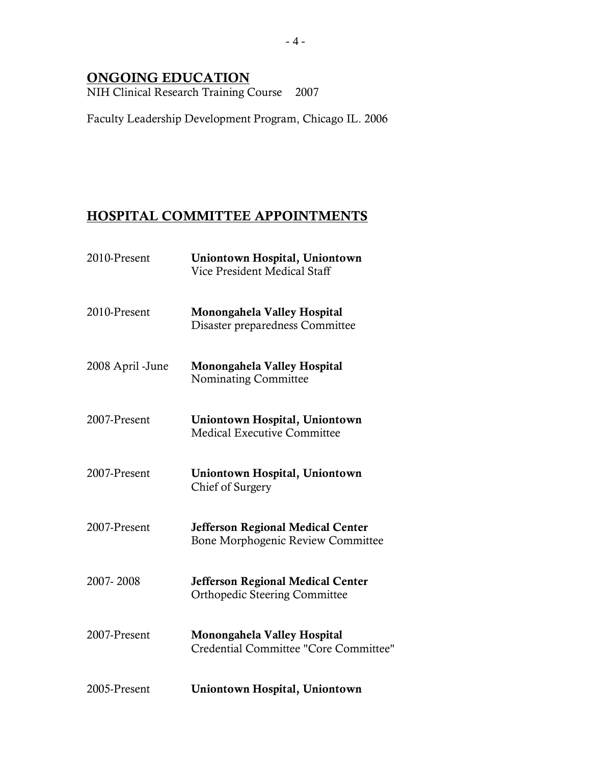### ONGOING EDUCATION

NIH Clinical Research Training Course 2007

Faculty Leadership Development Program, Chicago IL. 2006

### HOSPITAL COMMITTEE APPOINTMENTS

| 2010-Present     | Uniontown Hospital, Uniontown<br>Vice President Medical Staff                    |
|------------------|----------------------------------------------------------------------------------|
| 2010-Present     | Monongahela Valley Hospital<br>Disaster preparedness Committee                   |
| 2008 April -June | Monongahela Valley Hospital<br><b>Nominating Committee</b>                       |
| 2007-Present     | Uniontown Hospital, Uniontown<br><b>Medical Executive Committee</b>              |
| 2007-Present     | Uniontown Hospital, Uniontown<br>Chief of Surgery                                |
| 2007-Present     | <b>Jefferson Regional Medical Center</b><br>Bone Morphogenic Review Committee    |
| 2007-2008        | <b>Jefferson Regional Medical Center</b><br><b>Orthopedic Steering Committee</b> |
| 2007-Present     | Monongahela Valley Hospital<br>Credential Committee "Core Committee"             |
| 2005-Present     | Uniontown Hospital, Uniontown                                                    |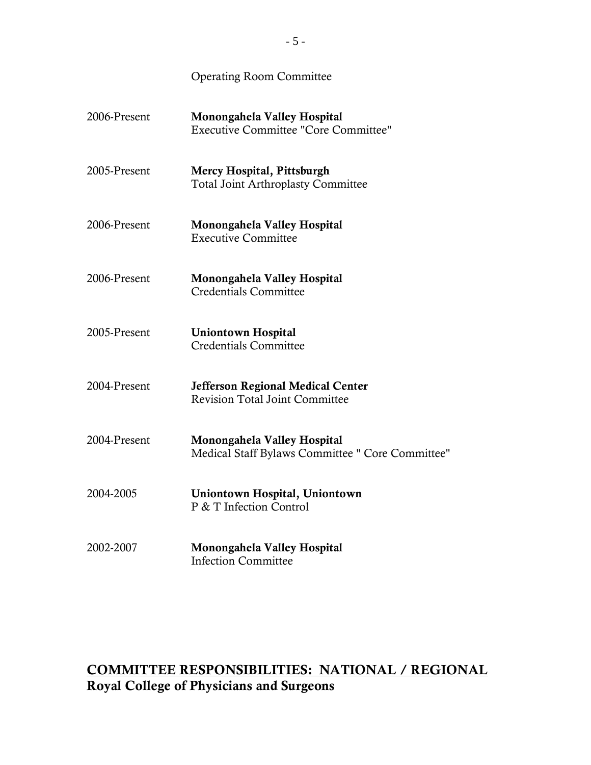| 2006-Present | Monongahela Valley Hospital<br><b>Executive Committee "Core Committee"</b>        |
|--------------|-----------------------------------------------------------------------------------|
| 2005-Present | Mercy Hospital, Pittsburgh<br><b>Total Joint Arthroplasty Committee</b>           |
| 2006-Present | Monongahela Valley Hospital<br><b>Executive Committee</b>                         |
| 2006-Present | Monongahela Valley Hospital<br><b>Credentials Committee</b>                       |
| 2005-Present | <b>Uniontown Hospital</b><br><b>Credentials Committee</b>                         |
| 2004-Present | <b>Jefferson Regional Medical Center</b><br><b>Revision Total Joint Committee</b> |
| 2004-Present | Monongahela Valley Hospital<br>Medical Staff Bylaws Committee " Core Committee"   |
| 2004-2005    | Uniontown Hospital, Uniontown<br>P & T Infection Control                          |
| 2002-2007    | Monongahela Valley Hospital<br><b>Infection Committee</b>                         |

### COMMITTEE RESPONSIBILITIES: NATIONAL / REGIONAL Royal College of Physicians and Surgeons

Operating Room Committee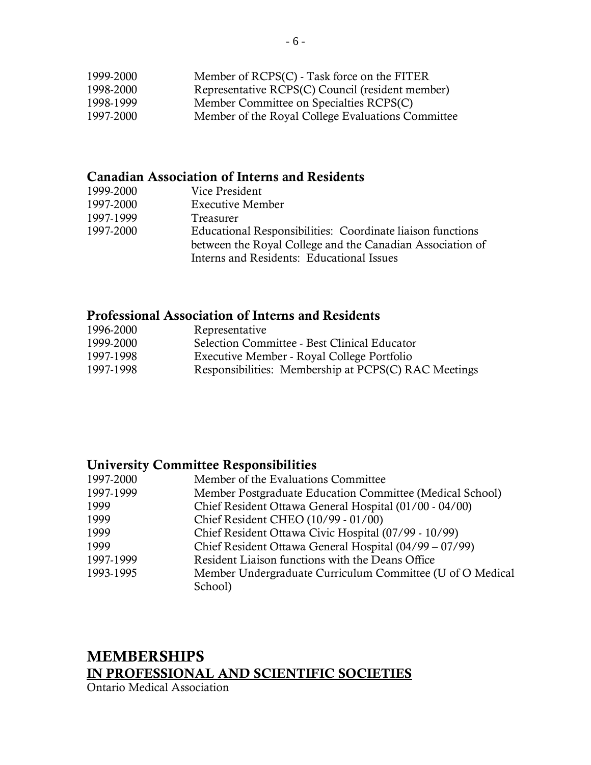| 1999-2000 | Member of RCPS(C) - Task force on the FITER       |
|-----------|---------------------------------------------------|
| 1998-2000 | Representative RCPS(C) Council (resident member)  |
| 1998-1999 | Member Committee on Specialties RCPS(C)           |
| 1997-2000 | Member of the Royal College Evaluations Committee |

### Canadian Association of Interns and Residents

| 1999-2000 | Vice President                                             |
|-----------|------------------------------------------------------------|
| 1997-2000 | <b>Executive Member</b>                                    |
| 1997-1999 | Treasurer                                                  |
| 1997-2000 | Educational Responsibilities: Coordinate liaison functions |
|           | between the Royal College and the Canadian Association of  |
|           | Interns and Residents: Educational Issues                  |

### Professional Association of Interns and Residents

| 1996-2000 | Representative                                       |
|-----------|------------------------------------------------------|
| 1999-2000 | Selection Committee - Best Clinical Educator         |
| 1997-1998 | Executive Member - Royal College Portfolio           |
| 1997-1998 | Responsibilities: Membership at PCPS(C) RAC Meetings |

### University Committee Responsibilities

| 1997-2000 | Member of the Evaluations Committee                       |
|-----------|-----------------------------------------------------------|
| 1997-1999 | Member Postgraduate Education Committee (Medical School)  |
| 1999      | Chief Resident Ottawa General Hospital (01/00 - 04/00)    |
| 1999      | Chief Resident CHEO (10/99 - 01/00)                       |
| 1999      | Chief Resident Ottawa Civic Hospital (07/99 - 10/99)      |
| 1999      | Chief Resident Ottawa General Hospital (04/99 – 07/99)    |
| 1997-1999 | Resident Liaison functions with the Deans Office          |
| 1993-1995 | Member Undergraduate Curriculum Committee (U of O Medical |
|           | School)                                                   |
|           |                                                           |

## MEMBERSHIPS IN PROFESSIONAL AND SCIENTIFIC SOCIETIES

Ontario Medical Association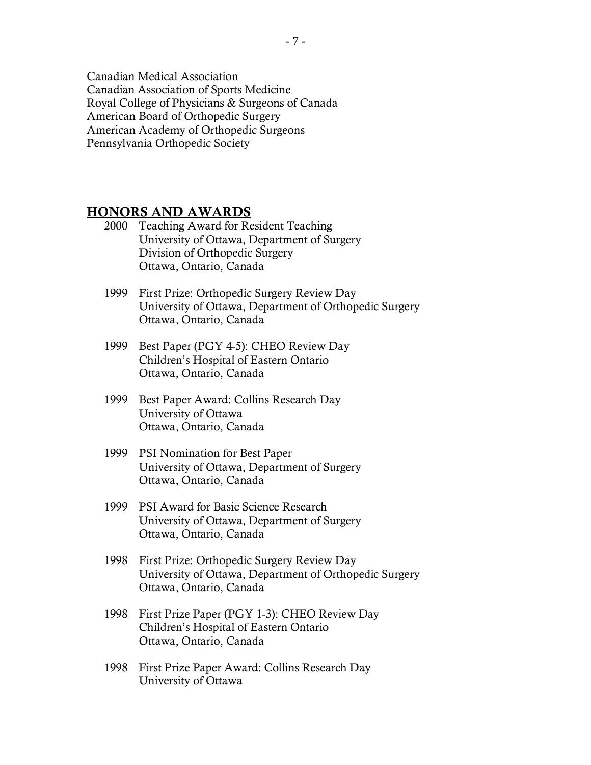Canadian Medical Association Canadian Association of Sports Medicine Royal College of Physicians & Surgeons of Canada American Board of Orthopedic Surgery American Academy of Orthopedic Surgeons Pennsylvania Orthopedic Society

### HONORS AND AWARDS

- 2000 Teaching Award for Resident Teaching University of Ottawa, Department of Surgery Division of Orthopedic Surgery Ottawa, Ontario, Canada
- 1999 First Prize: Orthopedic Surgery Review Day University of Ottawa, Department of Orthopedic Surgery Ottawa, Ontario, Canada
- 1999 Best Paper (PGY 4-5): CHEO Review Day Children's Hospital of Eastern Ontario Ottawa, Ontario, Canada
- 1999 Best Paper Award: Collins Research Day University of Ottawa Ottawa, Ontario, Canada
- 1999 PSI Nomination for Best Paper University of Ottawa, Department of Surgery Ottawa, Ontario, Canada
- 1999 PSI Award for Basic Science Research University of Ottawa, Department of Surgery Ottawa, Ontario, Canada
- 1998 First Prize: Orthopedic Surgery Review Day University of Ottawa, Department of Orthopedic Surgery Ottawa, Ontario, Canada
- 1998 First Prize Paper (PGY 1-3): CHEO Review Day Children's Hospital of Eastern Ontario Ottawa, Ontario, Canada
- 1998 First Prize Paper Award: Collins Research Day University of Ottawa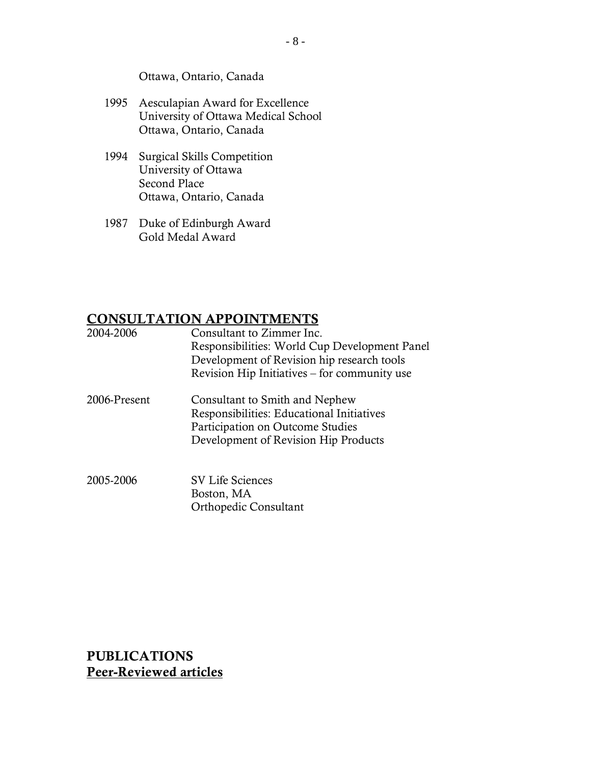Ottawa, Ontario, Canada

- 1995 Aesculapian Award for Excellence University of Ottawa Medical School Ottawa, Ontario, Canada
- 1994 Surgical Skills Competition University of Ottawa Second Place Ottawa, Ontario, Canada
- 1987 Duke of Edinburgh Award Gold Medal Award

### CONSULTATION APPOINTMENTS

| 2004-2006    | Consultant to Zimmer Inc.<br>Responsibilities: World Cup Development Panel<br>Development of Revision hip research tools<br>Revision Hip Initiatives – for community use |
|--------------|--------------------------------------------------------------------------------------------------------------------------------------------------------------------------|
| 2006-Present | Consultant to Smith and Nephew<br>Responsibilities: Educational Initiatives<br>Participation on Outcome Studies<br>Development of Revision Hip Products                  |
| 2005-2006    | <b>SV Life Sciences</b><br>Boston, MA                                                                                                                                    |

Orthopedic Consultant

PUBLICATIONS Peer-Reviewed articles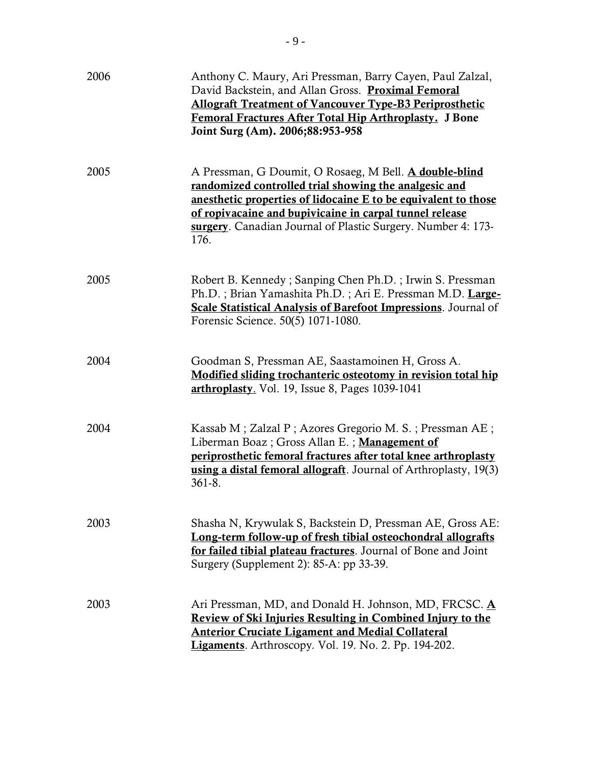| 2006 | Anthony C. Maury, Ari Pressman, Barry Cayen, Paul Zalzal,<br>David Backstein, and Allan Gross. Proximal Femoral<br><b>Allograft Treatment of Vancouver Type-B3 Periprosthetic</b><br>Femoral Fractures After Total Hip Arthroplasty. J Bone<br>Joint Surg (Am). 2006;88:953-958                                      |
|------|----------------------------------------------------------------------------------------------------------------------------------------------------------------------------------------------------------------------------------------------------------------------------------------------------------------------|
| 2005 | A Pressman, G Doumit, O Rosaeg, M Bell. A double-blind<br>randomized controlled trial showing the analgesic and<br>anesthetic properties of lidocaine E to be equivalent to those<br>of ropivacaine and bupivicaine in carpal tunnel release<br>surgery. Canadian Journal of Plastic Surgery. Number 4: 173-<br>176. |
| 2005 | Robert B. Kennedy; Sanping Chen Ph.D.; Irwin S. Pressman<br>Ph.D.; Brian Yamashita Ph.D.; Ari E. Pressman M.D. Large-<br><b>Scale Statistical Analysis of Barefoot Impressions.</b> Journal of<br>Forensic Science. 50(5) 1071-1080.                                                                                 |
| 2004 | Goodman S, Pressman AE, Saastamoinen H, Gross A.<br>Modified sliding trochanteric osteotomy in revision total hip<br>arthroplasty. Vol. 19, Issue 8, Pages 1039-1041                                                                                                                                                 |
| 2004 | Kassab M; Zalzal P; Azores Gregorio M. S.; Pressman AE;<br>Liberman Boaz; Gross Allan E.; Management of<br>periprosthetic femoral fractures after total knee arthroplasty<br>using a distal femoral allograft. Journal of Arthroplasty, 19(3)<br>$361 - 8.$                                                          |
| 2003 | Shasha N, Krywulak S, Backstein D, Pressman AE, Gross AE:<br>Long-term follow-up of fresh tibial osteochondral allografts<br>for failed tibial plateau fractures. Journal of Bone and Joint<br>Surgery (Supplement 2): 85-A: pp 33-39.                                                                               |
| 2003 | Ari Pressman, MD, and Donald H. Johnson, MD, FRCSC. A<br>Review of Ski Injuries Resulting in Combined Injury to the<br><b>Anterior Cruciate Ligament and Medial Collateral</b><br>Ligaments. Arthroscopy. Vol. 19. No. 2. Pp. 194-202.                                                                               |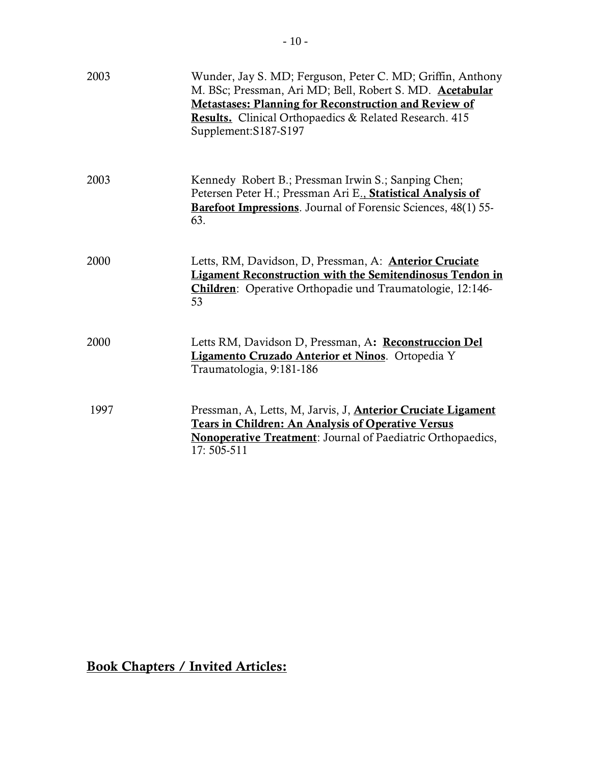| 2003 | Wunder, Jay S. MD; Ferguson, Peter C. MD; Griffin, Anthony<br>M. BSc; Pressman, Ari MD; Bell, Robert S. MD. Acetabular<br><b>Metastases: Planning for Reconstruction and Review of</b><br>Results. Clinical Orthopaedics & Related Research. 415<br>Supplement:S187-S197 |
|------|--------------------------------------------------------------------------------------------------------------------------------------------------------------------------------------------------------------------------------------------------------------------------|
| 2003 | Kennedy Robert B.; Pressman Irwin S.; Sanping Chen;<br>Petersen Peter H.; Pressman Ari E., Statistical Analysis of<br>Barefoot Impressions. Journal of Forensic Sciences, 48(1) 55-<br>63.                                                                               |
| 2000 | Letts, RM, Davidson, D, Pressman, A: <b>Anterior Cruciate</b><br><b>Ligament Reconstruction with the Semitendinosus Tendon in</b><br><b>Children:</b> Operative Orthopadie und Traumatologie, 12:146-<br>53                                                              |
| 2000 | Letts RM, Davidson D, Pressman, A: Reconstruccion Del<br>Ligamento Cruzado Anterior et Ninos. Ortopedia Y<br>Traumatologia, 9:181-186                                                                                                                                    |
| 1997 | Pressman, A, Letts, M, Jarvis, J, <b>Anterior Cruciate Ligament</b><br><b>Tears in Children: An Analysis of Operative Versus</b><br><b>Nonoperative Treatment:</b> Journal of Paediatric Orthopaedics,<br>17:505-511                                                     |

# Book Chapters / Invited Articles: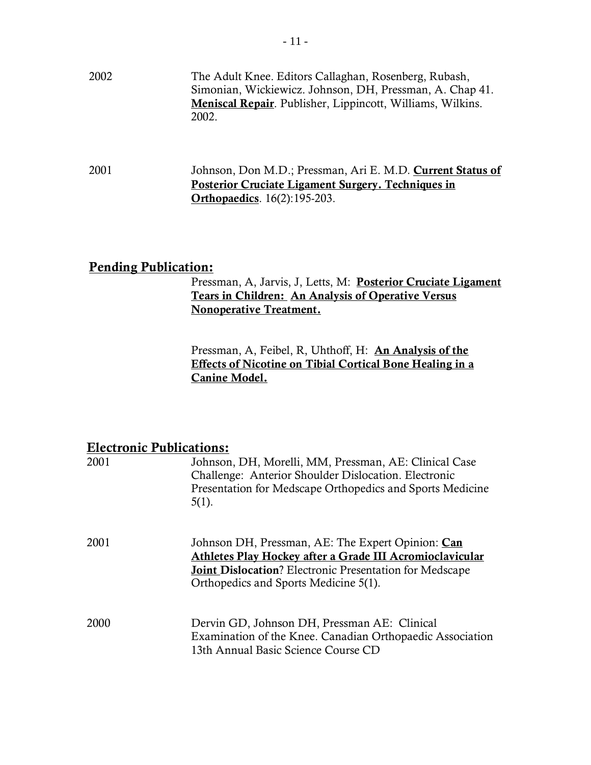2002 The Adult Knee. Editors Callaghan, Rosenberg, Rubash, Simonian, Wickiewicz. Johnson, DH, Pressman, A. Chap 41. Meniscal Repair. Publisher, Lippincott, Williams, Wilkins. 2002.

2001 Johnson, Don M.D.; Pressman, Ari E. M.D. **Current Status of** Posterior Cruciate Ligament Surgery. Techniques in **Orthopaedics**. 16(2):195-203.

### Pending Publication:

### Pressman, A, Jarvis, J, Letts, M: Posterior Cruciate Ligament Tears in Children: An Analysis of Operative Versus Nonoperative Treatment.

Pressman, A, Feibel, R, Uhthoff, H: **An Analysis of the** Effects of Nicotine on Tibial Cortical Bone Healing in a Canine Model.

### Electronic Publications:

| 2001 | Johnson, DH, Morelli, MM, Pressman, AE: Clinical Case<br>Challenge: Anterior Shoulder Dislocation. Electronic<br>Presentation for Medscape Orthopedics and Sports Medicine<br>$5(1)$ .                                    |
|------|---------------------------------------------------------------------------------------------------------------------------------------------------------------------------------------------------------------------------|
| 2001 | Johnson DH, Pressman, AE: The Expert Opinion: Can<br>Athletes Play Hockey after a Grade III Acromioclavicular<br><b>Joint Dislocation</b> ? Electronic Presentation for Medscape<br>Orthopedics and Sports Medicine 5(1). |
| 2000 | Dervin GD, Johnson DH, Pressman AE: Clinical<br>Examination of the Knee. Canadian Orthopaedic Association<br>13th Annual Basic Science Course CD                                                                          |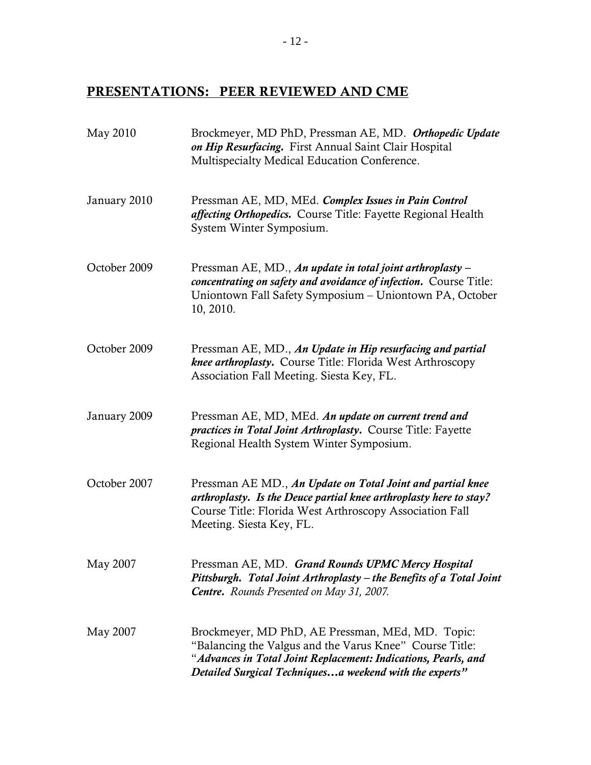# PRESENTATIONS: PEER REVIEWED AND CME

| May 2010     | Brockmeyer, MD PhD, Pressman AE, MD. Orthopedic Update<br>on Hip Resurfacing. First Annual Saint Clair Hospital<br>Multispecialty Medical Education Conference.                                                                          |
|--------------|------------------------------------------------------------------------------------------------------------------------------------------------------------------------------------------------------------------------------------------|
| January 2010 | Pressman AE, MD, MEd. Complex Issues in Pain Control<br>affecting Orthopedics. Course Title: Fayette Regional Health<br>System Winter Symposium.                                                                                         |
| October 2009 | Pressman AE, MD., An update in total joint arthroplasty –<br>concentrating on safety and avoidance of infection. Course Title:<br>Uniontown Fall Safety Symposium - Uniontown PA, October<br>10, 2010.                                   |
| October 2009 | Pressman AE, MD., An Update in Hip resurfacing and partial<br>knee arthroplasty. Course Title: Florida West Arthroscopy<br>Association Fall Meeting. Siesta Key, FL.                                                                     |
| January 2009 | Pressman AE, MD, MEd. An update on current trend and<br><i>practices in Total Joint Arthroplasty.</i> Course Title: Fayette<br>Regional Health System Winter Symposium.                                                                  |
| October 2007 | Pressman AE MD., An Update on Total Joint and partial knee<br>arthroplasty. Is the Deuce partial knee arthroplasty here to stay?<br>Course Title: Florida West Arthroscopy Association Fall<br>Meeting. Siesta Key, FL.                  |
| May 2007     | Pressman AE, MD. Grand Rounds UPMC Mercy Hospital<br>Pittsburgh. Total Joint Arthroplasty – the Benefits of a Total Joint<br><b>Centre.</b> Rounds Presented on May 31, 2007.                                                            |
| May 2007     | Brockmeyer, MD PhD, AE Pressman, MEd, MD. Topic:<br>"Balancing the Valgus and the Varus Knee" Course Title:<br>"Advances in Total Joint Replacement: Indications, Pearls, and<br>Detailed Surgical Techniquesa weekend with the experts" |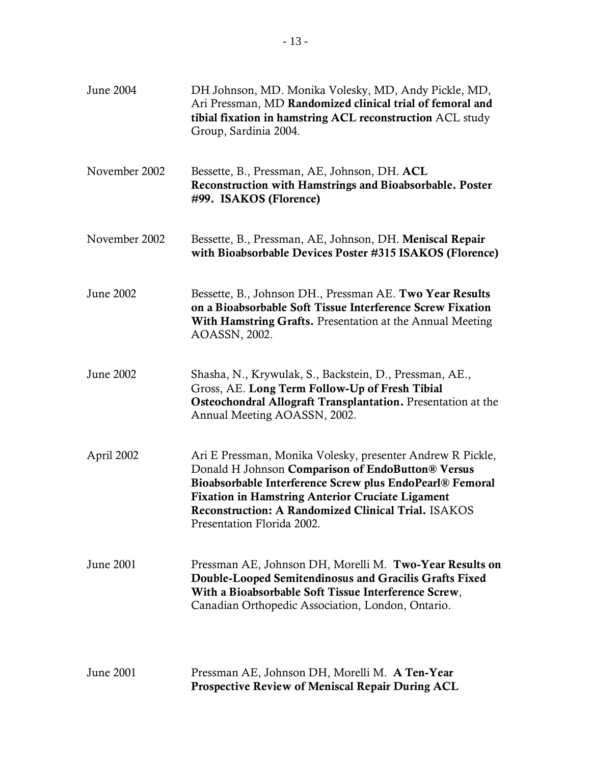| June 2004     | DH Johnson, MD. Monika Volesky, MD, Andy Pickle, MD,<br>Ari Pressman, MD Randomized clinical trial of femoral and<br>tibial fixation in hamstring ACL reconstruction ACL study<br>Group, Sardinia 2004.                                                                                                                            |
|---------------|------------------------------------------------------------------------------------------------------------------------------------------------------------------------------------------------------------------------------------------------------------------------------------------------------------------------------------|
| November 2002 | Bessette, B., Pressman, AE, Johnson, DH. ACL<br>Reconstruction with Hamstrings and Bioabsorbable. Poster<br>#99. ISAKOS (Florence)                                                                                                                                                                                                 |
| November 2002 | Bessette, B., Pressman, AE, Johnson, DH. Meniscal Repair<br>with Bioabsorbable Devices Poster #315 ISAKOS (Florence)                                                                                                                                                                                                               |
| June 2002     | Bessette, B., Johnson DH., Pressman AE. Two Year Results<br>on a Bioabsorbable Soft Tissue Interference Screw Fixation<br>With Hamstring Grafts. Presentation at the Annual Meeting<br>AOASSN, 2002.                                                                                                                               |
| June 2002     | Shasha, N., Krywulak, S., Backstein, D., Pressman, AE.,<br>Gross, AE. Long Term Follow-Up of Fresh Tibial<br>Osteochondral Allograft Transplantation. Presentation at the<br>Annual Meeting AOASSN, 2002.                                                                                                                          |
| April 2002    | Ari E Pressman, Monika Volesky, presenter Andrew R Pickle,<br>Donald H Johnson Comparison of EndoButton® Versus<br>Bioabsorbable Interference Screw plus EndoPearl® Femoral<br><b>Fixation in Hamstring Anterior Cruciate Ligament</b><br><b>Reconstruction: A Randomized Clinical Trial. ISAKOS</b><br>Presentation Florida 2002. |
| June 2001     | Pressman AE, Johnson DH, Morelli M. Two-Year Results on<br>Double-Looped Semitendinosus and Gracilis Grafts Fixed<br>With a Bioabsorbable Soft Tissue Interference Screw,<br>Canadian Orthopedic Association, London, Ontario.                                                                                                     |
| June 2001     | Pressman AE, Johnson DH, Morelli M. A Ten-Year<br><b>Prospective Review of Meniscal Repair During ACL</b>                                                                                                                                                                                                                          |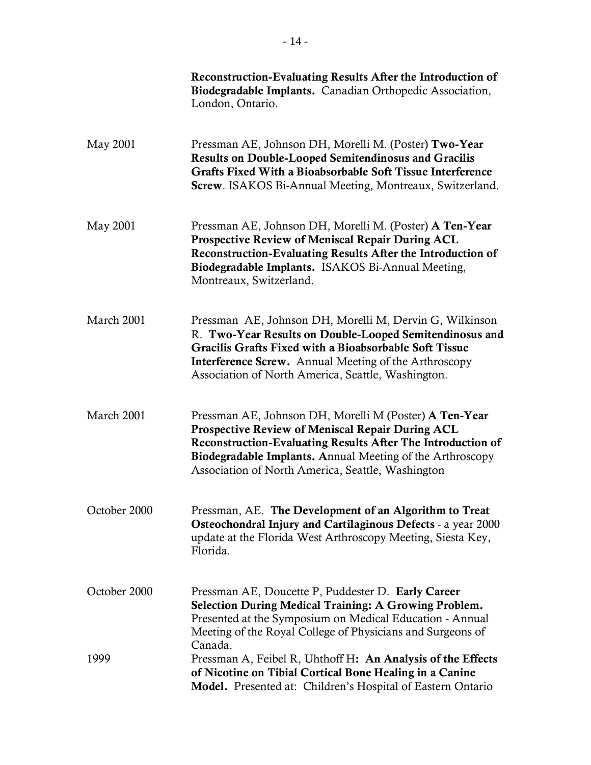|              | <b>Reconstruction-Evaluating Results After the Introduction of</b><br>Biodegradable Implants. Canadian Orthopedic Association,<br>London, Ontario.                                                                                                                                                 |
|--------------|----------------------------------------------------------------------------------------------------------------------------------------------------------------------------------------------------------------------------------------------------------------------------------------------------|
| May 2001     | Pressman AE, Johnson DH, Morelli M. (Poster) Two-Year<br><b>Results on Double-Looped Semitendinosus and Gracilis</b><br>Grafts Fixed With a Bioabsorbable Soft Tissue Interference<br>Screw. ISAKOS Bi-Annual Meeting, Montreaux, Switzerland.                                                     |
| May 2001     | Pressman AE, Johnson DH, Morelli M. (Poster) A Ten-Year<br>Prospective Review of Meniscal Repair During ACL<br>Reconstruction-Evaluating Results After the Introduction of<br>Biodegradable Implants. ISAKOS Bi-Annual Meeting,<br>Montreaux, Switzerland.                                         |
| March 2001   | Pressman AE, Johnson DH, Morelli M, Dervin G, Wilkinson<br>R. Two-Year Results on Double-Looped Semitendinosus and<br>Gracilis Grafts Fixed with a Bioabsorbable Soft Tissue<br><b>Interference Screw.</b> Annual Meeting of the Arthroscopy<br>Association of North America, Seattle, Washington. |
| March 2001   | Pressman AE, Johnson DH, Morelli M (Poster) A Ten-Year<br>Prospective Review of Meniscal Repair During ACL<br>Reconstruction-Evaluating Results After The Introduction of<br><b>Biodegradable Implants. Annual Meeting of the Arthroscopy</b><br>Association of North America, Seattle, Washington |
| October 2000 | Pressman, AE. The Development of an Algorithm to Treat<br>Osteochondral Injury and Cartilaginous Defects - a year 2000<br>update at the Florida West Arthroscopy Meeting, Siesta Key,<br>Florida.                                                                                                  |
| October 2000 | Pressman AE, Doucette P, Puddester D. Early Career<br><b>Selection During Medical Training: A Growing Problem.</b><br>Presented at the Symposium on Medical Education - Annual<br>Meeting of the Royal College of Physicians and Surgeons of                                                       |
| 1999         | Canada.<br>Pressman A, Feibel R, Uhthoff H: An Analysis of the Effects<br>of Nicotine on Tibial Cortical Bone Healing in a Canine<br>Model. Presented at: Children's Hospital of Eastern Ontario                                                                                                   |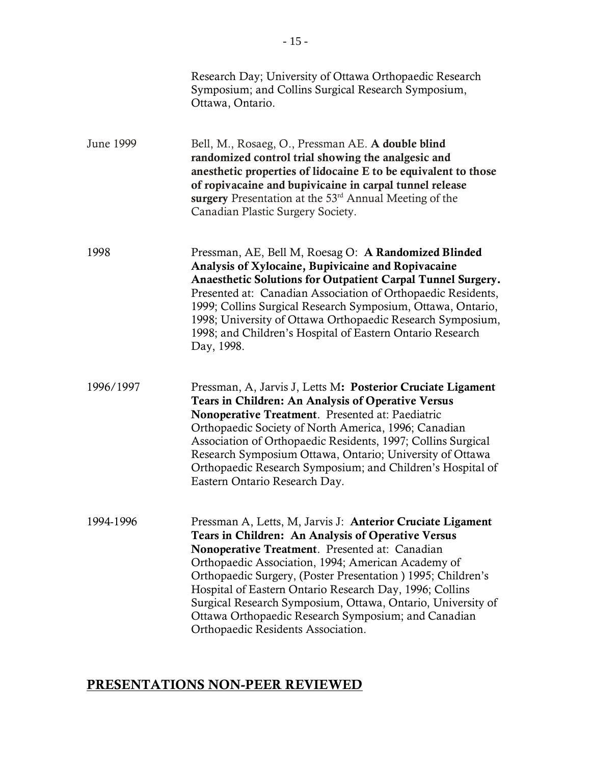|           | Research Day; University of Ottawa Orthopaedic Research<br>Symposium; and Collins Surgical Research Symposium,<br>Ottawa, Ontario.                                                                                                                                                                                                                                                                                                                                                                             |
|-----------|----------------------------------------------------------------------------------------------------------------------------------------------------------------------------------------------------------------------------------------------------------------------------------------------------------------------------------------------------------------------------------------------------------------------------------------------------------------------------------------------------------------|
| June 1999 | Bell, M., Rosaeg, O., Pressman AE. A double blind<br>randomized control trial showing the analgesic and<br>anesthetic properties of lidocaine E to be equivalent to those<br>of ropivacaine and bupivicaine in carpal tunnel release<br>surgery Presentation at the $53rd$ Annual Meeting of the<br>Canadian Plastic Surgery Society.                                                                                                                                                                          |
| 1998      | Pressman, AE, Bell M, Roesag O: A Randomized Blinded<br>Analysis of Xylocaine, Bupivicaine and Ropivacaine<br>Anaesthetic Solutions for Outpatient Carpal Tunnel Surgery.<br>Presented at: Canadian Association of Orthopaedic Residents,<br>1999; Collins Surgical Research Symposium, Ottawa, Ontario,<br>1998; University of Ottawa Orthopaedic Research Symposium,<br>1998; and Children's Hospital of Eastern Ontario Research<br>Day, 1998.                                                              |
| 1996/1997 | Pressman, A, Jarvis J, Letts M: Posterior Cruciate Ligament<br><b>Tears in Children: An Analysis of Operative Versus</b><br>Nonoperative Treatment. Presented at: Paediatric<br>Orthopaedic Society of North America, 1996; Canadian<br>Association of Orthopaedic Residents, 1997; Collins Surgical<br>Research Symposium Ottawa, Ontario; University of Ottawa<br>Orthopaedic Research Symposium; and Children's Hospital of<br>Eastern Ontario Research Day.                                                |
| 1994-1996 | Pressman A, Letts, M, Jarvis J: Anterior Cruciate Ligament<br>Tears in Children: An Analysis of Operative Versus<br>Nonoperative Treatment. Presented at: Canadian<br>Orthopaedic Association, 1994; American Academy of<br>Orthopaedic Surgery, (Poster Presentation) 1995; Children's<br>Hospital of Eastern Ontario Research Day, 1996; Collins<br>Surgical Research Symposium, Ottawa, Ontario, University of<br>Ottawa Orthopaedic Research Symposium; and Canadian<br>Orthopaedic Residents Association. |

# PRESENTATIONS NON-PEER REVIEWED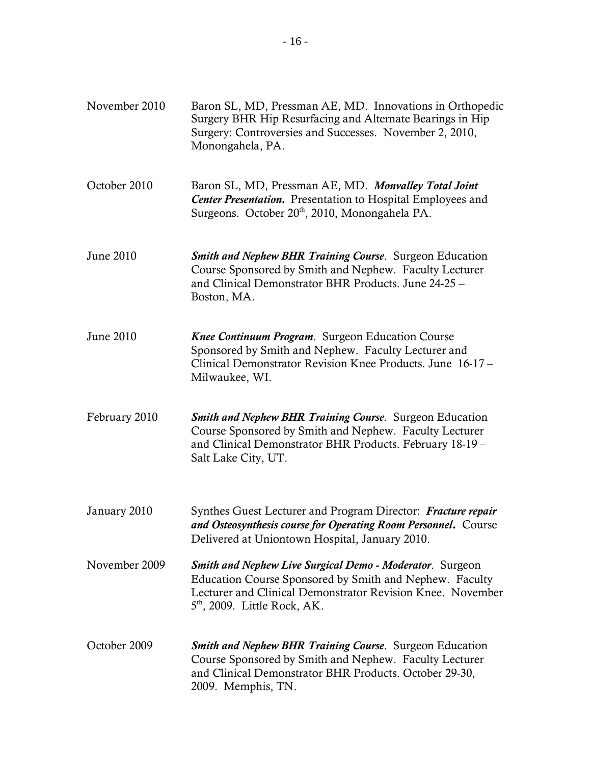| November 2010 | Baron SL, MD, Pressman AE, MD. Innovations in Orthopedic<br>Surgery BHR Hip Resurfacing and Alternate Bearings in Hip<br>Surgery: Controversies and Successes. November 2, 2010,<br>Monongahela, PA.                       |
|---------------|----------------------------------------------------------------------------------------------------------------------------------------------------------------------------------------------------------------------------|
| October 2010  | Baron SL, MD, Pressman AE, MD. Monvalley Total Joint<br><b>Center Presentation.</b> Presentation to Hospital Employees and<br>Surgeons. October 20 <sup>th</sup> , 2010, Monongahela PA.                                   |
| June 2010     | <b>Smith and Nephew BHR Training Course.</b> Surgeon Education<br>Course Sponsored by Smith and Nephew. Faculty Lecturer<br>and Clinical Demonstrator BHR Products. June 24-25 -<br>Boston, MA.                            |
| June 2010     | Knee Continuum Program. Surgeon Education Course<br>Sponsored by Smith and Nephew. Faculty Lecturer and<br>Clinical Demonstrator Revision Knee Products. June 16-17 -<br>Milwaukee, WI.                                    |
| February 2010 | Smith and Nephew BHR Training Course. Surgeon Education<br>Course Sponsored by Smith and Nephew. Faculty Lecturer<br>and Clinical Demonstrator BHR Products. February 18-19 -<br>Salt Lake City, UT.                       |
| January 2010  | Synthes Guest Lecturer and Program Director: Fracture repair<br>and Osteosynthesis course for Operating Room Personnel. Course<br>Delivered at Uniontown Hospital, January 2010.                                           |
| November 2009 | <b>Smith and Nephew Live Surgical Demo - Moderator.</b> Surgeon<br>Education Course Sponsored by Smith and Nephew. Faculty<br>Lecturer and Clinical Demonstrator Revision Knee. November<br>$5th$ , 2009. Little Rock, AK. |
| October 2009  | <b>Smith and Nephew BHR Training Course.</b> Surgeon Education<br>Course Sponsored by Smith and Nephew. Faculty Lecturer<br>and Clinical Demonstrator BHR Products. October 29-30,<br>2009. Memphis, TN.                   |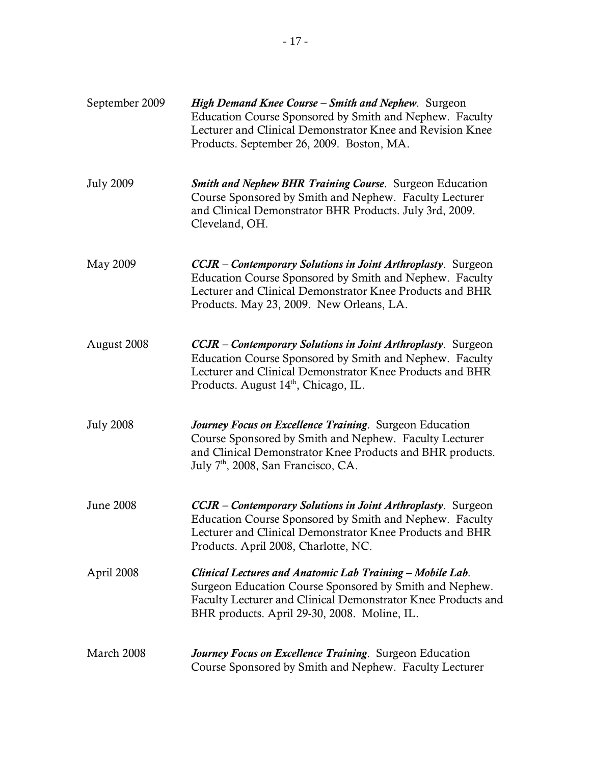| September 2009   | High Demand Knee Course - Smith and Nephew. Surgeon<br>Education Course Sponsored by Smith and Nephew. Faculty<br>Lecturer and Clinical Demonstrator Knee and Revision Knee<br>Products. September 26, 2009. Boston, MA.                       |
|------------------|------------------------------------------------------------------------------------------------------------------------------------------------------------------------------------------------------------------------------------------------|
| <b>July 2009</b> | <b>Smith and Nephew BHR Training Course.</b> Surgeon Education<br>Course Sponsored by Smith and Nephew. Faculty Lecturer<br>and Clinical Demonstrator BHR Products. July 3rd, 2009.<br>Cleveland, OH.                                          |
| May 2009         | <b>CCJR</b> – Contemporary Solutions in Joint Arthroplasty. Surgeon<br>Education Course Sponsored by Smith and Nephew. Faculty<br>Lecturer and Clinical Demonstrator Knee Products and BHR<br>Products. May 23, 2009. New Orleans, LA.         |
| August 2008      | <b>CCJR</b> – Contemporary Solutions in Joint Arthroplasty. Surgeon<br>Education Course Sponsored by Smith and Nephew. Faculty<br>Lecturer and Clinical Demonstrator Knee Products and BHR<br>Products. August 14 <sup>th</sup> , Chicago, IL. |
| <b>July 2008</b> | Journey Focus on Excellence Training. Surgeon Education<br>Course Sponsored by Smith and Nephew. Faculty Lecturer<br>and Clinical Demonstrator Knee Products and BHR products.<br>July 7 <sup>th</sup> , 2008, San Francisco, CA.              |
| <b>June 2008</b> | <b>CCJR</b> - Contemporary Solutions in Joint Arthroplasty. Surgeon<br>Education Course Sponsored by Smith and Nephew. Faculty<br>Lecturer and Clinical Demonstrator Knee Products and BHR<br>Products. April 2008, Charlotte, NC.             |
| April 2008       | Clinical Lectures and Anatomic Lab Training - Mobile Lab.<br>Surgeon Education Course Sponsored by Smith and Nephew.<br>Faculty Lecturer and Clinical Demonstrator Knee Products and<br>BHR products. April 29-30, 2008. Moline, IL.           |
| March 2008       | Journey Focus on Excellence Training. Surgeon Education<br>Course Sponsored by Smith and Nephew. Faculty Lecturer                                                                                                                              |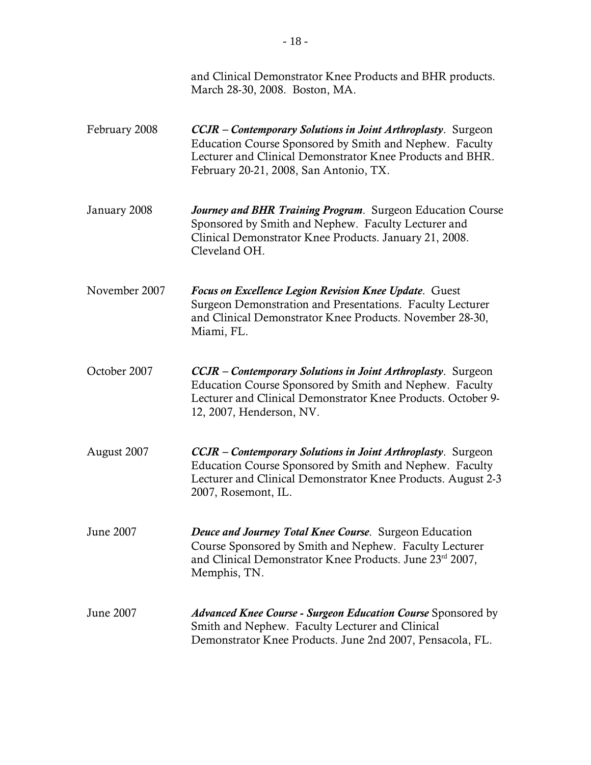|               | and Clinical Demonstrator Knee Products and BHR products.<br>March 28-30, 2008. Boston, MA.                                                                                                                                           |
|---------------|---------------------------------------------------------------------------------------------------------------------------------------------------------------------------------------------------------------------------------------|
| February 2008 | <b>CCJR</b> – Contemporary Solutions in Joint Arthroplasty. Surgeon<br>Education Course Sponsored by Smith and Nephew. Faculty<br>Lecturer and Clinical Demonstrator Knee Products and BHR.<br>February 20-21, 2008, San Antonio, TX. |
| January 2008  | Journey and BHR Training Program. Surgeon Education Course<br>Sponsored by Smith and Nephew. Faculty Lecturer and<br>Clinical Demonstrator Knee Products. January 21, 2008.<br>Cleveland OH.                                          |
| November 2007 | Focus on Excellence Legion Revision Knee Update. Guest<br>Surgeon Demonstration and Presentations. Faculty Lecturer<br>and Clinical Demonstrator Knee Products. November 28-30,<br>Miami, FL.                                         |
| October 2007  | <b>CCJR</b> – Contemporary Solutions in Joint Arthroplasty. Surgeon<br>Education Course Sponsored by Smith and Nephew. Faculty<br>Lecturer and Clinical Demonstrator Knee Products. October 9-<br>12, 2007, Henderson, NV.            |
| August 2007   | <b>CCJR</b> – Contemporary Solutions in Joint Arthroplasty. Surgeon<br>Education Course Sponsored by Smith and Nephew. Faculty<br>Lecturer and Clinical Demonstrator Knee Products. August 2-3<br>2007, Rosemont, IL.                 |
| June 2007     | Deuce and Journey Total Knee Course. Surgeon Education<br>Course Sponsored by Smith and Nephew. Faculty Lecturer<br>and Clinical Demonstrator Knee Products. June 23rd 2007,<br>Memphis, TN.                                          |
| June 2007     | <i>Advanced Knee Course - Surgeon Education Course</i> Sponsored by<br>Smith and Nephew. Faculty Lecturer and Clinical<br>Demonstrator Knee Products. June 2nd 2007, Pensacola, FL.                                                   |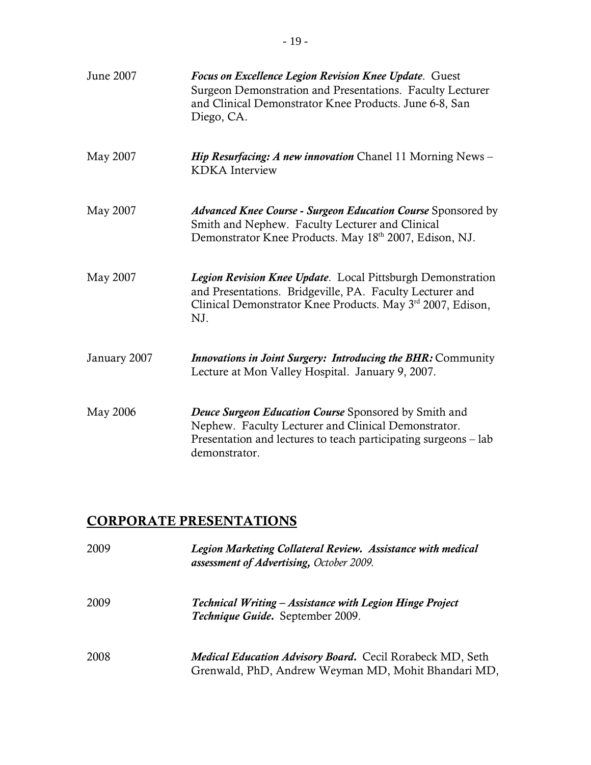| June 2007    | Focus on Excellence Legion Revision Knee Update. Guest<br>Surgeon Demonstration and Presentations. Faculty Lecturer<br>and Clinical Demonstrator Knee Products. June 6-8, San<br>Diego, CA.              |
|--------------|----------------------------------------------------------------------------------------------------------------------------------------------------------------------------------------------------------|
| May 2007     | <i>Hip Resurfacing: A new innovation Chanel 11 Morning News-</i><br><b>KDKA</b> Interview                                                                                                                |
| May 2007     | <b>Advanced Knee Course - Surgeon Education Course Sponsored by</b><br>Smith and Nephew. Faculty Lecturer and Clinical<br>Demonstrator Knee Products. May 18 <sup>th</sup> 2007, Edison, NJ.             |
| May 2007     | Legion Revision Knee Update. Local Pittsburgh Demonstration<br>and Presentations. Bridgeville, PA. Faculty Lecturer and<br>Clinical Demonstrator Knee Products. May 3 <sup>rd</sup> 2007, Edison,<br>NJ. |
| January 2007 | Innovations in Joint Surgery: Introducing the BHR: Community<br>Lecture at Mon Valley Hospital. January 9, 2007.                                                                                         |
| May 2006     | Deuce Surgeon Education Course Sponsored by Smith and<br>Nephew. Faculty Lecturer and Clinical Demonstrator.<br>Presentation and lectures to teach participating surgeons – lab<br>demonstrator.         |

# CORPORATE PRESENTATIONS

| 2009 | Legion Marketing Collateral Review. Assistance with medical<br>assessment of Advertising, October 2009.                 |
|------|-------------------------------------------------------------------------------------------------------------------------|
| 2009 | Technical Writing - Assistance with Legion Hinge Project<br>Technique Guide. September 2009.                            |
| 2008 | <b>Medical Education Advisory Board.</b> Cecil Rorabeck MD, Seth<br>Grenwald, PhD, Andrew Weyman MD, Mohit Bhandari MD, |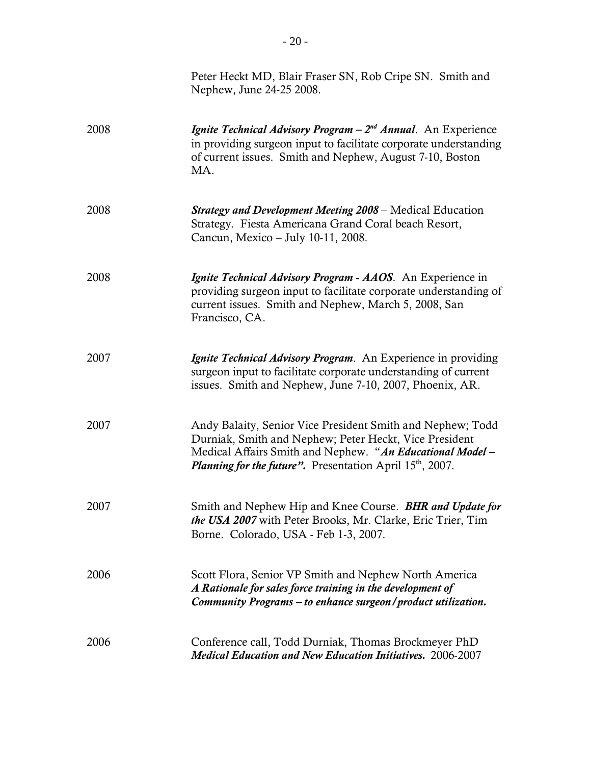|      | Peter Heckt MD, Blair Fraser SN, Rob Cripe SN. Smith and<br>Nephew, June 24-25 2008.                                                                                                                                                                    |
|------|---------------------------------------------------------------------------------------------------------------------------------------------------------------------------------------------------------------------------------------------------------|
| 2008 | <i>Ignite Technical Advisory Program - <math>2^{nd}</math> Annual.</i> An Experience<br>in providing surgeon input to facilitate corporate understanding<br>of current issues. Smith and Nephew, August 7-10, Boston<br>MA.                             |
| 2008 | <b>Strategy and Development Meeting 2008 – Medical Education</b><br>Strategy. Fiesta Americana Grand Coral beach Resort,<br>Cancun, Mexico - July 10-11, 2008.                                                                                          |
| 2008 | <i>Ignite Technical Advisory Program - AAOS.</i> An Experience in<br>providing surgeon input to facilitate corporate understanding of<br>current issues. Smith and Nephew, March 5, 2008, San<br>Francisco, CA.                                         |
| 2007 | <i>Ignite Technical Advisory Program.</i> An Experience in providing<br>surgeon input to facilitate corporate understanding of current<br>issues. Smith and Nephew, June 7-10, 2007, Phoenix, AR.                                                       |
| 2007 | Andy Balaity, Senior Vice President Smith and Nephew; Todd<br>Durniak, Smith and Nephew; Peter Heckt, Vice President<br>Medical Affairs Smith and Nephew. "An Educational Model -<br><i>Planning for the future".</i> Presentation April $15th$ , 2007. |
| 2007 | Smith and Nephew Hip and Knee Course. BHR and Update for<br>the USA 2007 with Peter Brooks, Mr. Clarke, Eric Trier, Tim<br>Borne. Colorado, USA - Feb 1-3, 2007.                                                                                        |
| 2006 | Scott Flora, Senior VP Smith and Nephew North America<br>A Rationale for sales force training in the development of<br>Community Programs - to enhance surgeon/product utilization.                                                                     |
| 2006 | Conference call, Todd Durniak, Thomas Brockmeyer PhD<br><b>Medical Education and New Education Initiatives. 2006-2007</b>                                                                                                                               |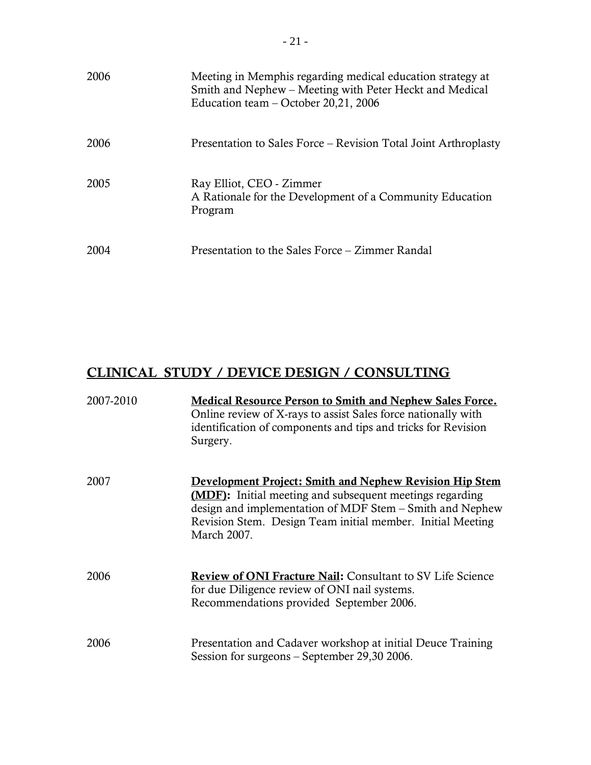| 2006 | Meeting in Memphis regarding medical education strategy at<br>Smith and Nephew – Meeting with Peter Heckt and Medical<br>Education team – October 20,21, 2006 |
|------|---------------------------------------------------------------------------------------------------------------------------------------------------------------|
| 2006 | Presentation to Sales Force – Revision Total Joint Arthroplasty                                                                                               |
| 2005 | Ray Elliot, CEO - Zimmer<br>A Rationale for the Development of a Community Education<br>Program                                                               |
| 2004 | Presentation to the Sales Force – Zimmer Randal                                                                                                               |

# CLINICAL STUDY / DEVICE DESIGN / CONSULTING

| 2007-2010 | <b>Medical Resource Person to Smith and Nephew Sales Force.</b><br>Online review of X-rays to assist Sales force nationally with<br>identification of components and tips and tricks for Revision<br>Surgery.                                                              |
|-----------|----------------------------------------------------------------------------------------------------------------------------------------------------------------------------------------------------------------------------------------------------------------------------|
| 2007      | <u><b>Development Project: Smith and Nephew Revision Hip Stem</b></u><br>(MDF): Initial meeting and subsequent meetings regarding<br>design and implementation of MDF Stem – Smith and Nephew<br>Revision Stem. Design Team initial member. Initial Meeting<br>March 2007. |
| 2006      | <b>Review of ONI Fracture Nail: Consultant to SV Life Science</b><br>for due Diligence review of ONI nail systems.<br>Recommendations provided September 2006.                                                                                                             |
| 2006      | Presentation and Cadaver workshop at initial Deuce Training<br>Session for surgeons – September 29,30 2006.                                                                                                                                                                |